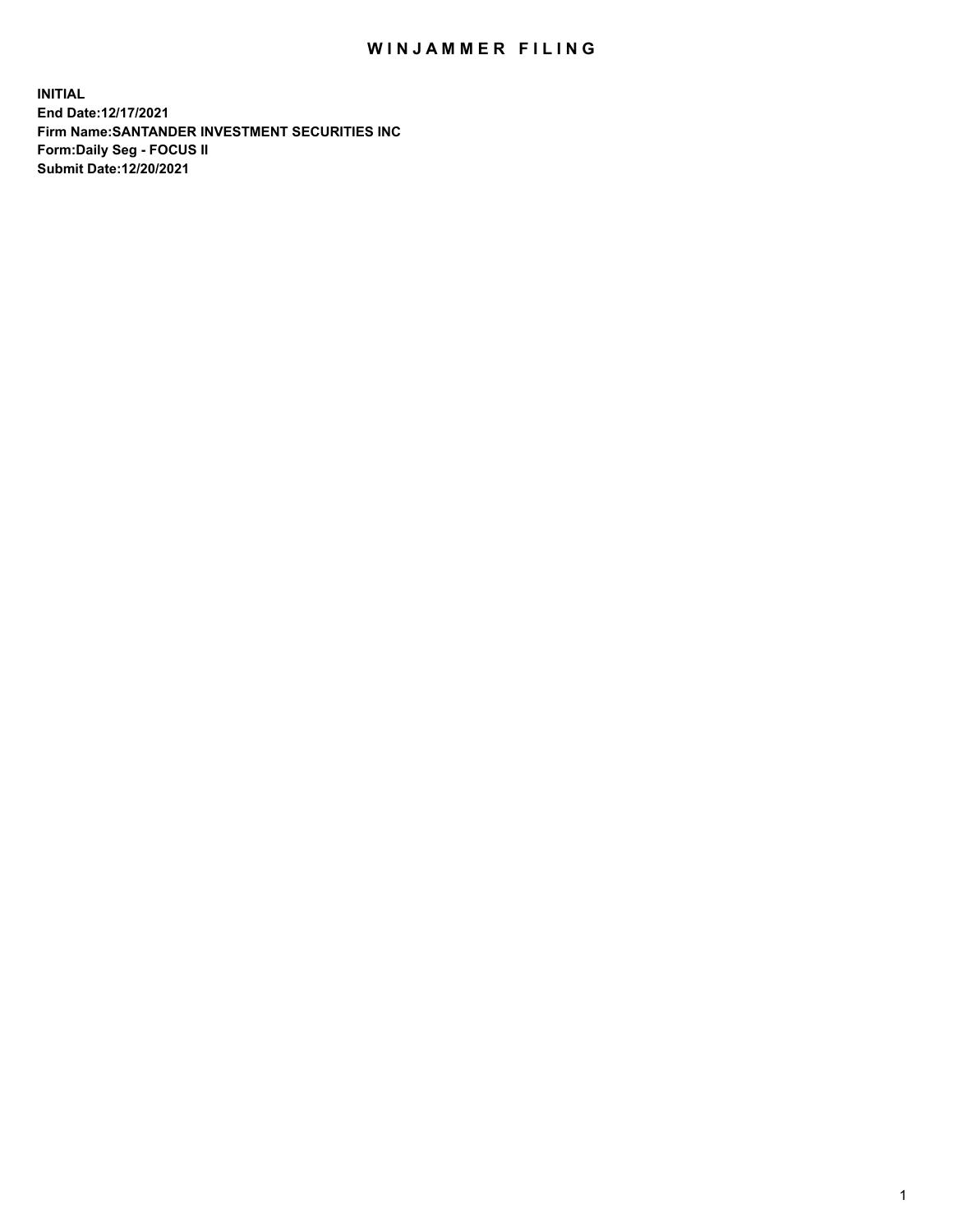## WIN JAMMER FILING

**INITIAL End Date:12/17/2021 Firm Name:SANTANDER INVESTMENT SECURITIES INC Form:Daily Seg - FOCUS II Submit Date:12/20/2021**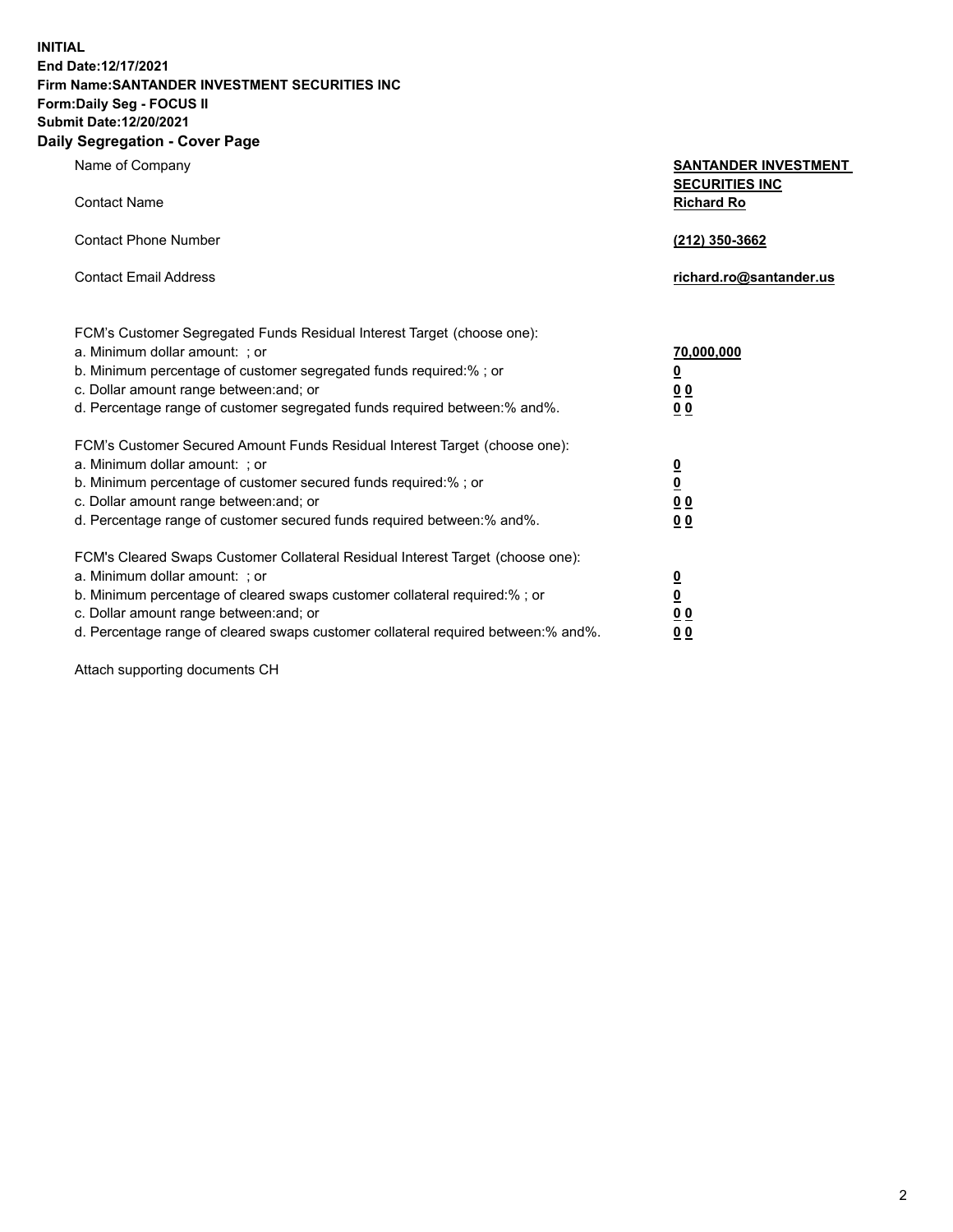**INITIAL End Date:12/17/2021 Firm Name:SANTANDER INVESTMENT SECURITIES INC Form:Daily Seg - FOCUS II Submit Date:12/20/2021 Daily Segregation - Cover Page**

| $\gamma$ ocgi cganon - oo $\gamma$ or - ago                                       |                                                      |
|-----------------------------------------------------------------------------------|------------------------------------------------------|
| Name of Company                                                                   | <b>SANTANDER INVESTMENT</b><br><b>SECURITIES INC</b> |
| <b>Contact Name</b>                                                               | <b>Richard Ro</b>                                    |
| <b>Contact Phone Number</b>                                                       | (212) 350-3662                                       |
| <b>Contact Email Address</b>                                                      | richard.ro@santander.us                              |
| FCM's Customer Segregated Funds Residual Interest Target (choose one):            |                                                      |
| a. Minimum dollar amount: ; or                                                    | 70,000,000                                           |
| b. Minimum percentage of customer segregated funds required:%; or                 | <u>0</u>                                             |
| c. Dollar amount range between: and; or                                           | 00                                                   |
| d. Percentage range of customer segregated funds required between:% and%.         | 0 <sub>0</sub>                                       |
| FCM's Customer Secured Amount Funds Residual Interest Target (choose one):        |                                                      |
| a. Minimum dollar amount: ; or                                                    | $\frac{0}{0}$                                        |
| b. Minimum percentage of customer secured funds required:%; or                    |                                                      |
| c. Dollar amount range between: and; or                                           | 0 <sub>0</sub>                                       |
| d. Percentage range of customer secured funds required between: % and %.          | 0 <sub>0</sub>                                       |
| FCM's Cleared Swaps Customer Collateral Residual Interest Target (choose one):    |                                                      |
| a. Minimum dollar amount: ; or                                                    | $\frac{0}{0}$                                        |
| b. Minimum percentage of cleared swaps customer collateral required:% ; or        |                                                      |
| c. Dollar amount range between: and; or                                           | 0 <sub>0</sub>                                       |
| d. Percentage range of cleared swaps customer collateral required between:% and%. | 0 <sub>0</sub>                                       |

Attach supporting documents CH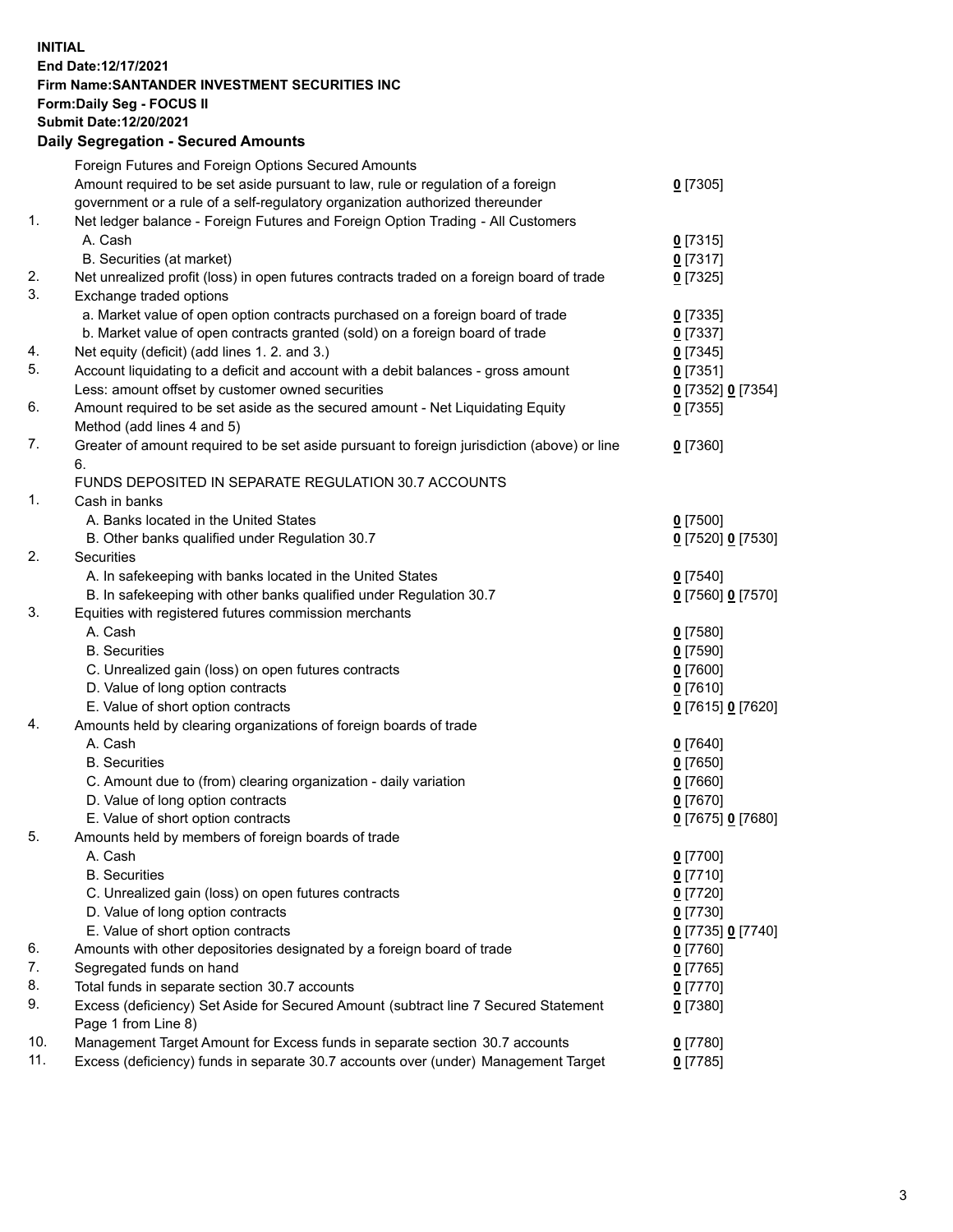## **INITIAL End Date:12/17/2021 Firm Name:SANTANDER INVESTMENT SECURITIES INC Form:Daily Seg - FOCUS II Submit Date:12/20/2021 Daily Segregation - Secured Amounts**

|     | Foreign Futures and Foreign Options Secured Amounts                                         |                   |
|-----|---------------------------------------------------------------------------------------------|-------------------|
|     | Amount required to be set aside pursuant to law, rule or regulation of a foreign            | $0$ [7305]        |
|     | government or a rule of a self-regulatory organization authorized thereunder                |                   |
| 1.  | Net ledger balance - Foreign Futures and Foreign Option Trading - All Customers             |                   |
|     | A. Cash                                                                                     | $0$ [7315]        |
|     | B. Securities (at market)                                                                   | $0$ [7317]        |
| 2.  | Net unrealized profit (loss) in open futures contracts traded on a foreign board of trade   | $0$ [7325]        |
| 3.  | Exchange traded options                                                                     |                   |
|     | a. Market value of open option contracts purchased on a foreign board of trade              | $0$ [7335]        |
|     | b. Market value of open contracts granted (sold) on a foreign board of trade                | $0$ [7337]        |
| 4.  | Net equity (deficit) (add lines 1. 2. and 3.)                                               | $0$ [7345]        |
| 5.  | Account liquidating to a deficit and account with a debit balances - gross amount           | $0$ [7351]        |
|     | Less: amount offset by customer owned securities                                            | 0 [7352] 0 [7354] |
| 6.  | Amount required to be set aside as the secured amount - Net Liquidating Equity              | $0$ [7355]        |
|     | Method (add lines 4 and 5)                                                                  |                   |
| 7.  | Greater of amount required to be set aside pursuant to foreign jurisdiction (above) or line | $0$ [7360]        |
|     | 6.                                                                                          |                   |
|     | FUNDS DEPOSITED IN SEPARATE REGULATION 30.7 ACCOUNTS                                        |                   |
| 1.  | Cash in banks                                                                               |                   |
|     | A. Banks located in the United States                                                       | $0$ [7500]        |
|     | B. Other banks qualified under Regulation 30.7                                              | 0 [7520] 0 [7530] |
| 2.  | Securities                                                                                  |                   |
|     | A. In safekeeping with banks located in the United States                                   | $0$ [7540]        |
|     | B. In safekeeping with other banks qualified under Regulation 30.7                          | 0 [7560] 0 [7570] |
| 3.  | Equities with registered futures commission merchants                                       |                   |
|     | A. Cash                                                                                     | $0$ [7580]        |
|     | <b>B.</b> Securities                                                                        | $0$ [7590]        |
|     | C. Unrealized gain (loss) on open futures contracts                                         | $0$ [7600]        |
|     | D. Value of long option contracts                                                           | $0$ [7610]        |
|     | E. Value of short option contracts                                                          | 0 [7615] 0 [7620] |
| 4.  | Amounts held by clearing organizations of foreign boards of trade                           |                   |
|     | A. Cash                                                                                     | $0$ [7640]        |
|     | <b>B.</b> Securities                                                                        | $0$ [7650]        |
|     | C. Amount due to (from) clearing organization - daily variation                             | $0$ [7660]        |
|     | D. Value of long option contracts                                                           | $0$ [7670]        |
|     | E. Value of short option contracts                                                          | 0 [7675] 0 [7680] |
| 5.  | Amounts held by members of foreign boards of trade                                          |                   |
|     | A. Cash                                                                                     | $0$ [7700]        |
|     | <b>B.</b> Securities                                                                        | $0$ [7710]        |
|     | C. Unrealized gain (loss) on open futures contracts                                         | $0$ [7720]        |
|     | D. Value of long option contracts                                                           | $0$ [7730]        |
|     | E. Value of short option contracts                                                          | 0 [7735] 0 [7740] |
| 6.  | Amounts with other depositories designated by a foreign board of trade                      | 0 [7760]          |
| 7.  | Segregated funds on hand                                                                    | $0$ [7765]        |
| 8.  | Total funds in separate section 30.7 accounts                                               | 0 [7770]          |
| 9.  | Excess (deficiency) Set Aside for Secured Amount (subtract line 7 Secured Statement         | $0$ [7380]        |
|     | Page 1 from Line 8)                                                                         |                   |
| 10. | Management Target Amount for Excess funds in separate section 30.7 accounts                 | $0$ [7780]        |
| 11. | Excess (deficiency) funds in separate 30.7 accounts over (under) Management Target          | $0$ [7785]        |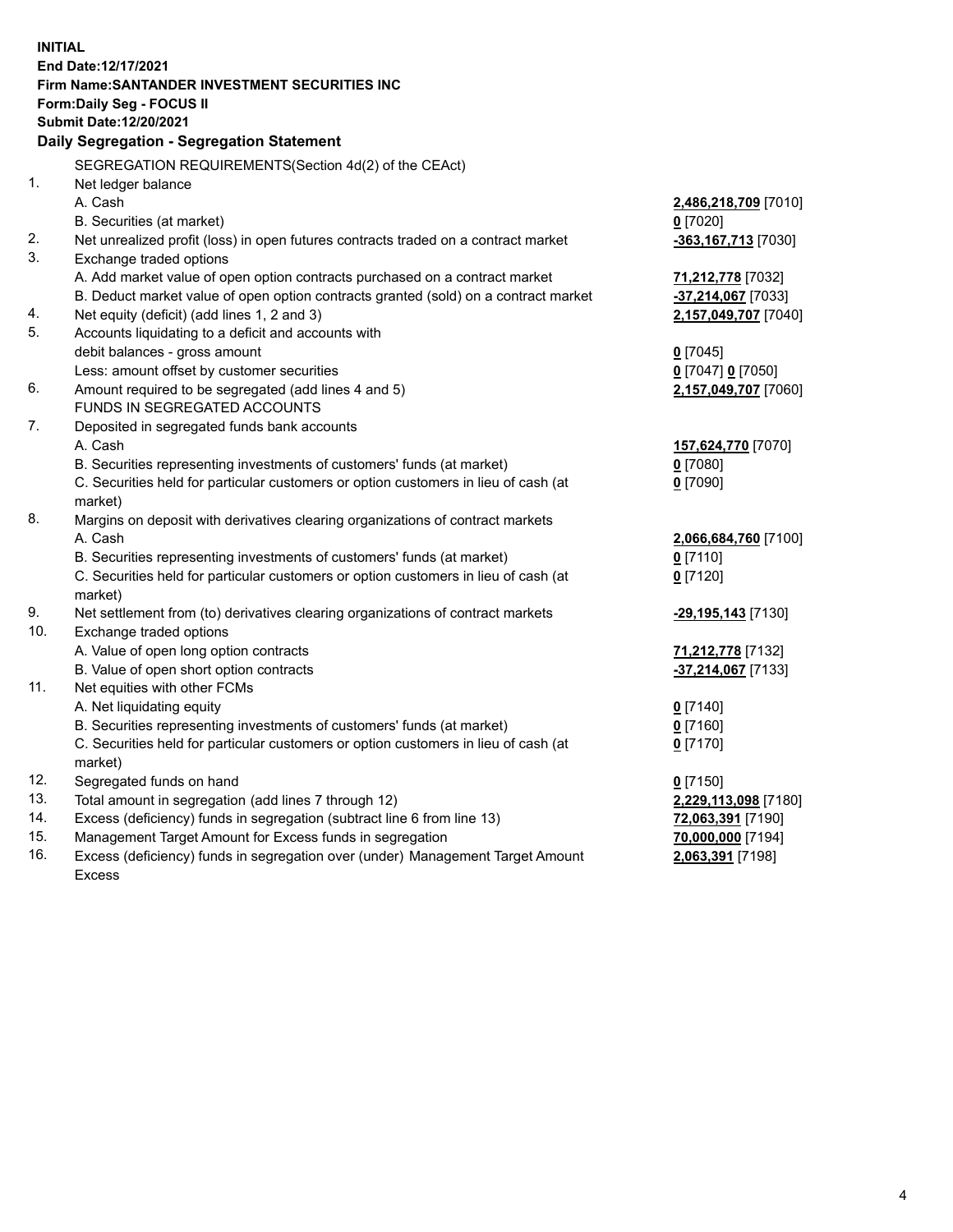| <b>INITIAL</b> |                                                                                     |                      |  |  |  |  |
|----------------|-------------------------------------------------------------------------------------|----------------------|--|--|--|--|
|                | End Date:12/17/2021                                                                 |                      |  |  |  |  |
|                | Firm Name: SANTANDER INVESTMENT SECURITIES INC                                      |                      |  |  |  |  |
|                | <b>Form:Daily Seg - FOCUS II</b>                                                    |                      |  |  |  |  |
|                | Submit Date:12/20/2021                                                              |                      |  |  |  |  |
|                | <b>Daily Segregation - Segregation Statement</b>                                    |                      |  |  |  |  |
|                | SEGREGATION REQUIREMENTS(Section 4d(2) of the CEAct)                                |                      |  |  |  |  |
| 1.             | Net ledger balance                                                                  |                      |  |  |  |  |
|                | A. Cash                                                                             | 2,486,218,709 [7010] |  |  |  |  |
|                | B. Securities (at market)                                                           | $0$ [7020]           |  |  |  |  |
| 2.             | Net unrealized profit (loss) in open futures contracts traded on a contract market  | -363,167,713 [7030]  |  |  |  |  |
| 3.             | Exchange traded options                                                             |                      |  |  |  |  |
|                | A. Add market value of open option contracts purchased on a contract market         | 71,212,778 [7032]    |  |  |  |  |
|                | B. Deduct market value of open option contracts granted (sold) on a contract market | -37,214,067 [7033]   |  |  |  |  |
| 4.             | Net equity (deficit) (add lines 1, 2 and 3)                                         | 2,157,049,707 [7040] |  |  |  |  |
| 5.             | Accounts liquidating to a deficit and accounts with                                 |                      |  |  |  |  |
|                | debit balances - gross amount                                                       | $0$ [7045]           |  |  |  |  |
|                | Less: amount offset by customer securities                                          | 0 [7047] 0 [7050]    |  |  |  |  |
| 6.             | Amount required to be segregated (add lines 4 and 5)                                | 2,157,049,707 [7060] |  |  |  |  |
|                | FUNDS IN SEGREGATED ACCOUNTS                                                        |                      |  |  |  |  |
| 7.             | Deposited in segregated funds bank accounts                                         |                      |  |  |  |  |
|                | A. Cash                                                                             | 157,624,770 [7070]   |  |  |  |  |
|                | B. Securities representing investments of customers' funds (at market)              | $0$ [7080]           |  |  |  |  |
|                | C. Securities held for particular customers or option customers in lieu of cash (at | $0$ [7090]           |  |  |  |  |
|                | market)                                                                             |                      |  |  |  |  |
| 8.             | Margins on deposit with derivatives clearing organizations of contract markets      |                      |  |  |  |  |
|                | A. Cash                                                                             | 2,066,684,760 [7100] |  |  |  |  |
|                | B. Securities representing investments of customers' funds (at market)              | $0$ [7110]           |  |  |  |  |
|                | C. Securities held for particular customers or option customers in lieu of cash (at | $0$ [7120]           |  |  |  |  |
|                | market)                                                                             |                      |  |  |  |  |
| 9.             | Net settlement from (to) derivatives clearing organizations of contract markets     | -29,195,143 [7130]   |  |  |  |  |
| 10.            | Exchange traded options                                                             |                      |  |  |  |  |
|                | A. Value of open long option contracts                                              | 71,212,778 [7132]    |  |  |  |  |
|                | B. Value of open short option contracts                                             | -37,214,067 [7133]   |  |  |  |  |
| 11.            | Net equities with other FCMs                                                        |                      |  |  |  |  |
|                | A. Net liquidating equity                                                           | $0$ [7140]           |  |  |  |  |
|                | B. Securities representing investments of customers' funds (at market)              | $0$ [7160]           |  |  |  |  |
|                | C. Securities held for particular customers or option customers in lieu of cash (at | $0$ [7170]           |  |  |  |  |
|                | market)                                                                             |                      |  |  |  |  |
| 12.            | Segregated funds on hand                                                            | $0$ [7150]           |  |  |  |  |
| 13.            | Total amount in segregation (add lines 7 through 12)                                | 2,229,113,098 [7180] |  |  |  |  |
| 14.            | Excess (deficiency) funds in segregation (subtract line 6 from line 13)             | 72,063,391 [7190]    |  |  |  |  |
| 15.            | Management Target Amount for Excess funds in segregation                            | 70,000,000 [7194]    |  |  |  |  |
| 16.            | Excess (deficiency) funds in segregation over (under) Management Target Amount      | 2,063,391 [7198]     |  |  |  |  |
|                | <b>Excess</b>                                                                       |                      |  |  |  |  |